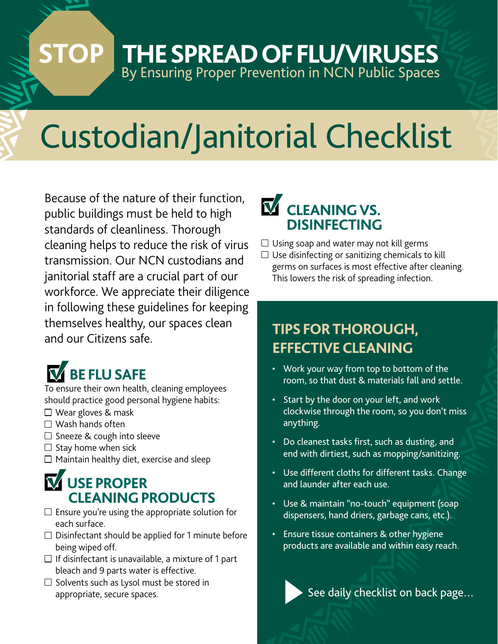## By Ensuring Proper Prevention in NCN Public Spaces **STOP THE SPREAD OF FLU/VIRUSES**

# Custodian/Janitorial Checklist

Because of the nature of their function, public buildings must be held to high standards of cleanliness. Thorough cleaning helps to reduce the risk of virus transmission. Our NCN custodians and janitorial staff are a crucial part of our workforce. We appreciate their diligence in following these guidelines for keeping themselves healthy, our spaces clean and our Citizens safe.

## **BE FLU SAFE**

To ensure their own health, cleaning employees should practice good personal hygiene habits:

- $\square$  Wear gloves & mask
- $\Box$  Wash hands often
- $\Box$  Sneeze & cough into sleeve
- $\Box$  Stay home when sick
- $\Box$  Maintain healthy diet, exercise and sleep

## **USE PROPER CLEANING PRODUCTS**

- $\square$  Ensure you're using the appropriate solution for each surface.
- $\Box$  Disinfectant should be applied for 1 minute before being wiped off.
- $\Box$  If disinfectant is unavailable, a mixture of 1 part bleach and 9 parts water is effective.
- $\square$  Solvents such as Lysol must be stored in appropriate, secure spaces.

# **M** CLEANING VS.

- $\Box$  Using soap and water may not kill germs
- $\Box$  Use disinfecting or sanitizing chemicals to kill germs on surfaces is most effective after cleaning. This lowers the risk of spreading infection.

### **TIPS FOR THOROUGH, EFFECTIVE CLEANING**

- Work your way from top to bottom of the room, so that dust & materials fall and settle.
- Start by the door on your left, and work clockwise through the room, so you don't miss anything.
- Do cleanest tasks first, such as dusting, and end with dirtiest, such as mopping/sanitizing.
- Use different cloths for different tasks. Change and launder after each use.
- Use & maintain "no-touch" equipment (soap dispensers, hand driers, garbage cans, etc.).
- Ensure tissue containers & other hygiene products are available and within easy reach.

See daily checklist on back page…